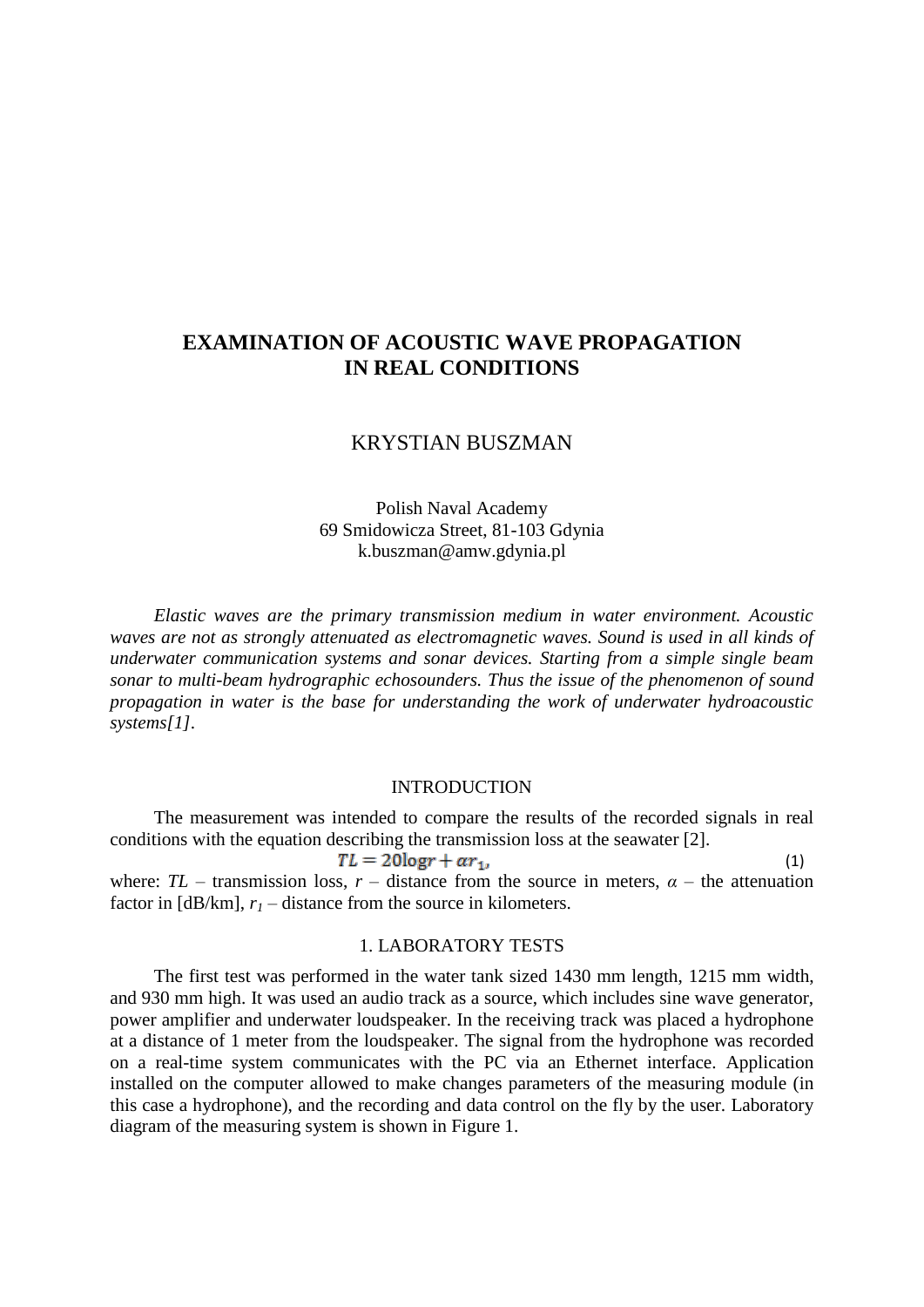# **EXAMINATION OF ACOUSTIC WAVE PROPAGATION IN REAL CONDITIONS**

## KRYSTIAN BUSZMAN

Polish Naval Academy 69 Smidowicza Street, 81-103 Gdynia k.buszman@amw.gdynia.pl

*Elastic waves are the primary transmission medium in water environment. Acoustic waves are not as strongly attenuated as electromagnetic waves. Sound is used in all kinds of underwater communication systems and sonar devices. Starting from a simple single beam sonar to multi-beam hydrographic echosounders. Thus the issue of the phenomenon of sound propagation in water is the base for understanding the work of underwater hydroacoustic systems[1].*

#### INTRODUCTION

The measurement was intended to compare the results of the recorded signals in real conditions with the equation describing the transmission loss at the seawater [2].

 $TL = 20logr + ar_1$ (1) where:  $TL$  – transmission loss,  $r$  – distance from the source in meters,  $\alpha$  – the attenuation factor in  $[dB/km]$ ,  $r<sub>l</sub>$  – distance from the source in kilometers.

#### 1. LABORATORY TESTS

The first test was performed in the water tank sized 1430 mm length, 1215 mm width, and 930 mm high. It was used an audio track as a source, which includes sine wave generator, power amplifier and underwater loudspeaker. In the receiving track was placed a hydrophone at a distance of 1 meter from the loudspeaker. The signal from the hydrophone was recorded on a real-time system communicates with the PC via an Ethernet interface. Application installed on the computer allowed to make changes parameters of the measuring module (in this case a hydrophone), and the recording and data control on the fly by the user. Laboratory diagram of the measuring system is shown in Figure 1.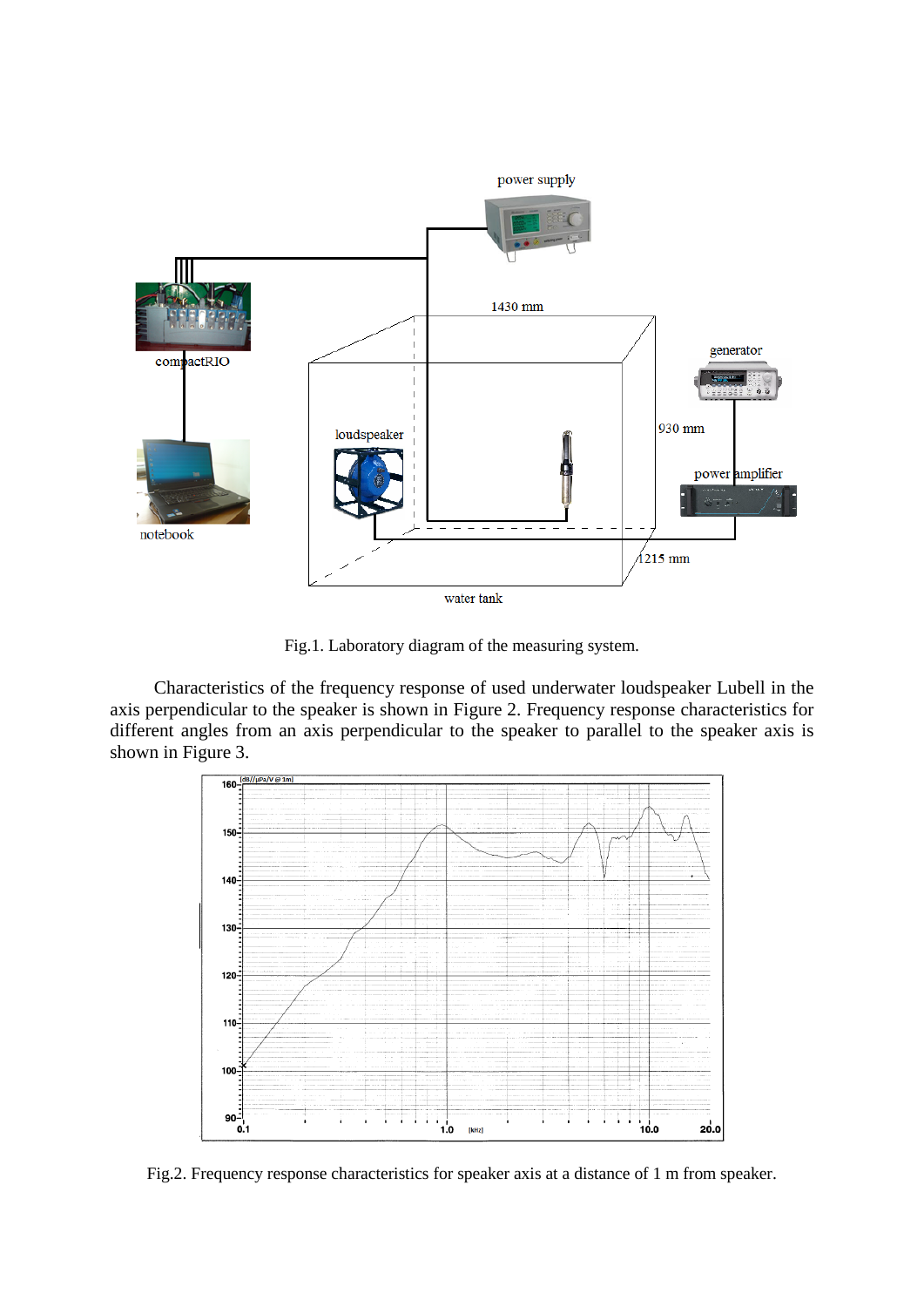

Fig.1. Laboratory diagram of the measuring system.

Characteristics of the frequency response of used underwater loudspeaker Lubell in the axis perpendicular to the speaker is shown in Figure 2. Frequency response characteristics for different angles from an axis perpendicular to the speaker to parallel to the speaker axis is shown in Figure 3.



Fig.2. Frequency response characteristics for speaker axis at a distance of 1 m from speaker.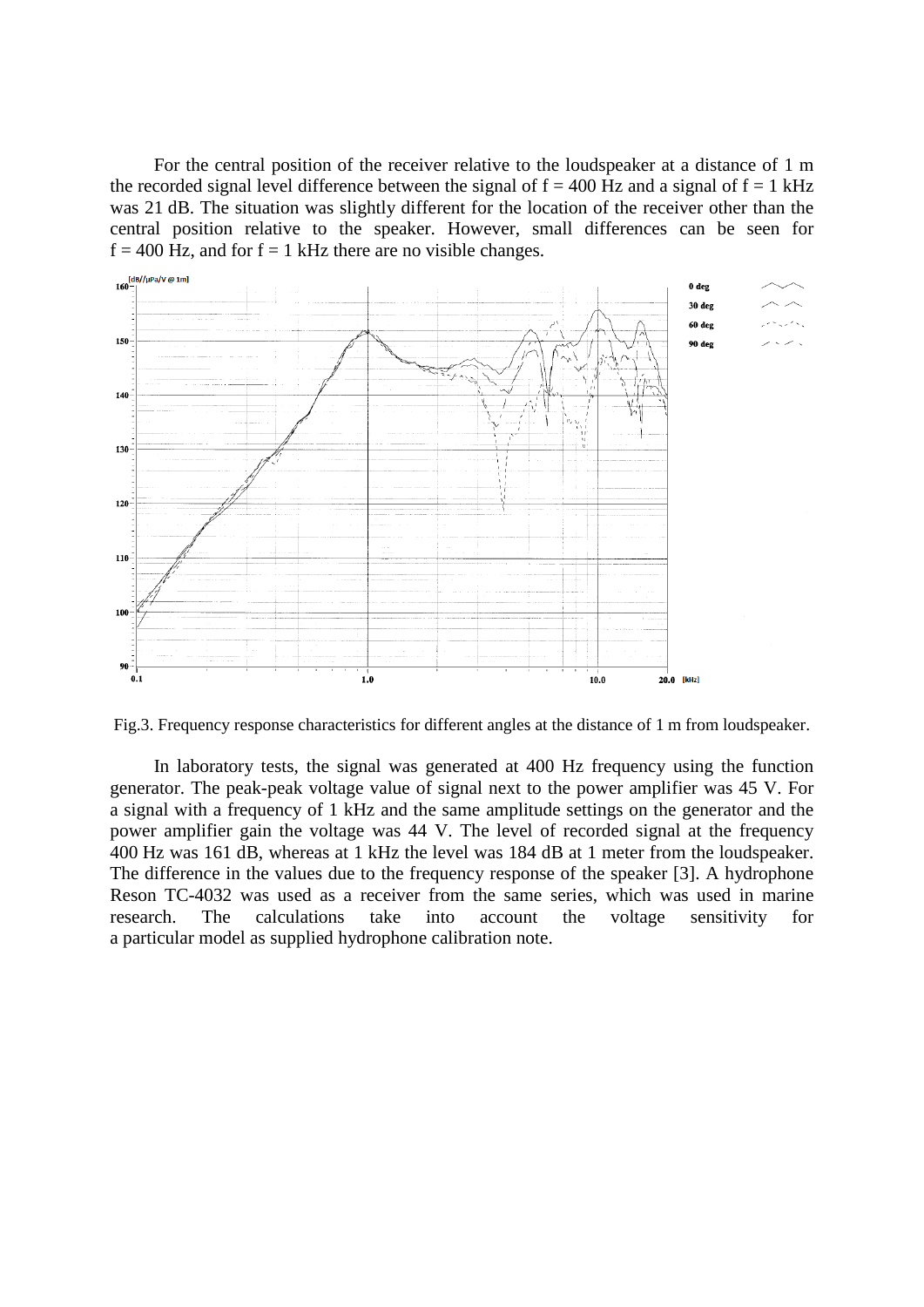For the central position of the receiver relative to the loudspeaker at a distance of 1 m the recorded signal level difference between the signal of  $f = 400$  Hz and a signal of  $f = 1$  kHz was 21 dB. The situation was slightly different for the location of the receiver other than the central position relative to the speaker. However, small differences can be seen for  $f = 400$  Hz, and for  $f = 1$  kHz there are no visible changes.



Fig.3. Frequency response characteristics for different angles at the distance of 1 m from loudspeaker.

In laboratory tests, the signal was generated at 400 Hz frequency using the function generator. The peak-peak voltage value of signal next to the power amplifier was 45 V. For a signal with a frequency of 1 kHz and the same amplitude settings on the generator and the power amplifier gain the voltage was 44 V. The level of recorded signal at the frequency 400 Hz was 161 dB, whereas at 1 kHz the level was 184 dB at 1 meter from the loudspeaker. The difference in the values due to the frequency response of the speaker [3]. A hydrophone Reson TC-4032 was used as a receiver from the same series, which was used in marine research. The calculations take into account the voltage sensitivity for a particular model as supplied hydrophone calibration note.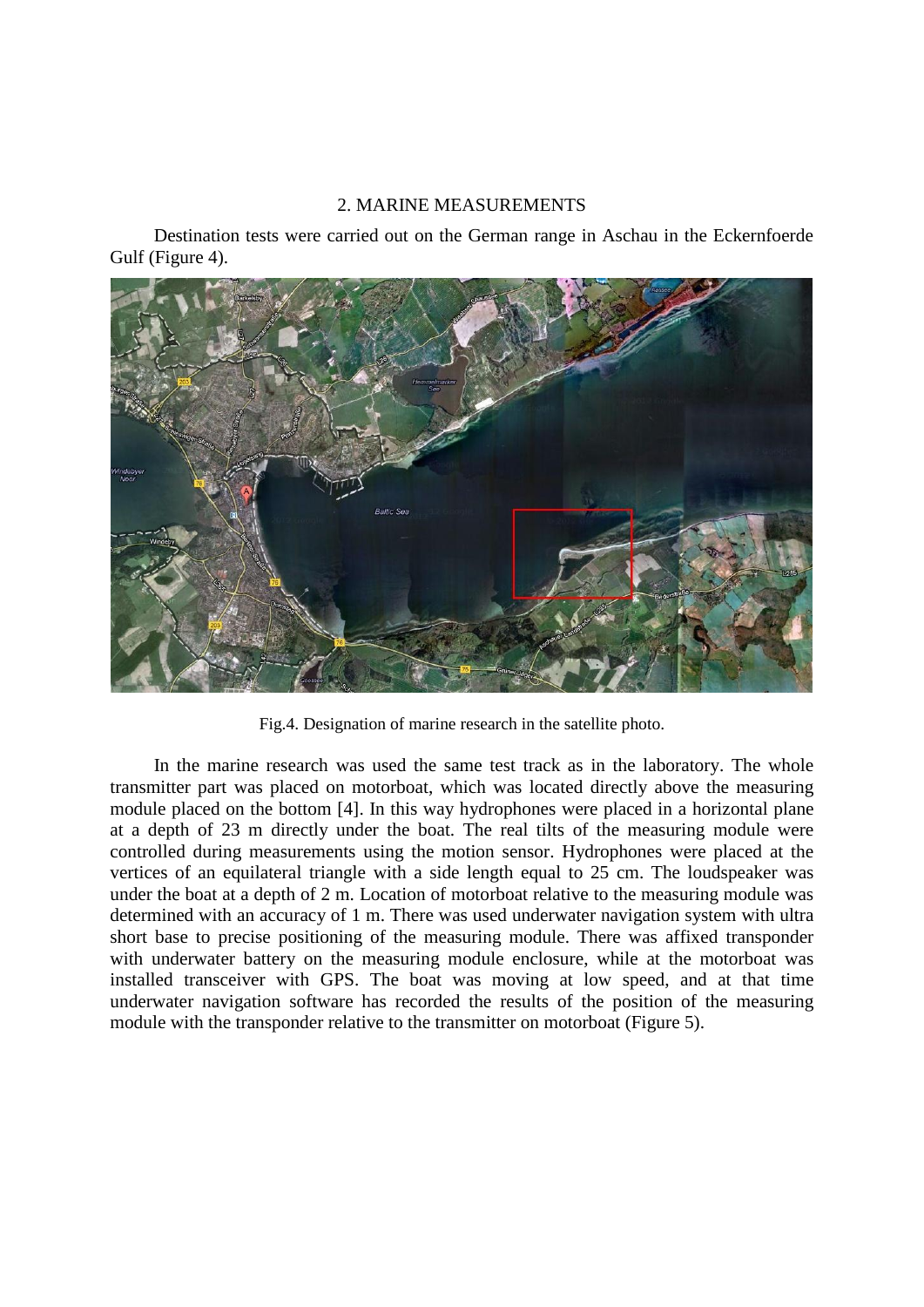## 2. MARINE MEASUREMENTS

Destination tests were carried out on the German range in Aschau in the Eckernfoerde Gulf (Figure 4).



Fig.4. Designation of marine research in the satellite photo.

In the marine research was used the same test track as in the laboratory. The whole transmitter part was placed on motorboat, which was located directly above the measuring module placed on the bottom [4]. In this way hydrophones were placed in a horizontal plane at a depth of 23 m directly under the boat. The real tilts of the measuring module were controlled during measurements using the motion sensor. Hydrophones were placed at the vertices of an equilateral triangle with a side length equal to 25 cm. The loudspeaker was under the boat at a depth of 2 m. Location of motorboat relative to the measuring module was determined with an accuracy of 1 m. There was used underwater navigation system with ultra short base to precise positioning of the measuring module. There was affixed transponder with underwater battery on the measuring module enclosure, while at the motorboat was installed transceiver with GPS. The boat was moving at low speed, and at that time underwater navigation software has recorded the results of the position of the measuring module with the transponder relative to the transmitter on motorboat (Figure 5).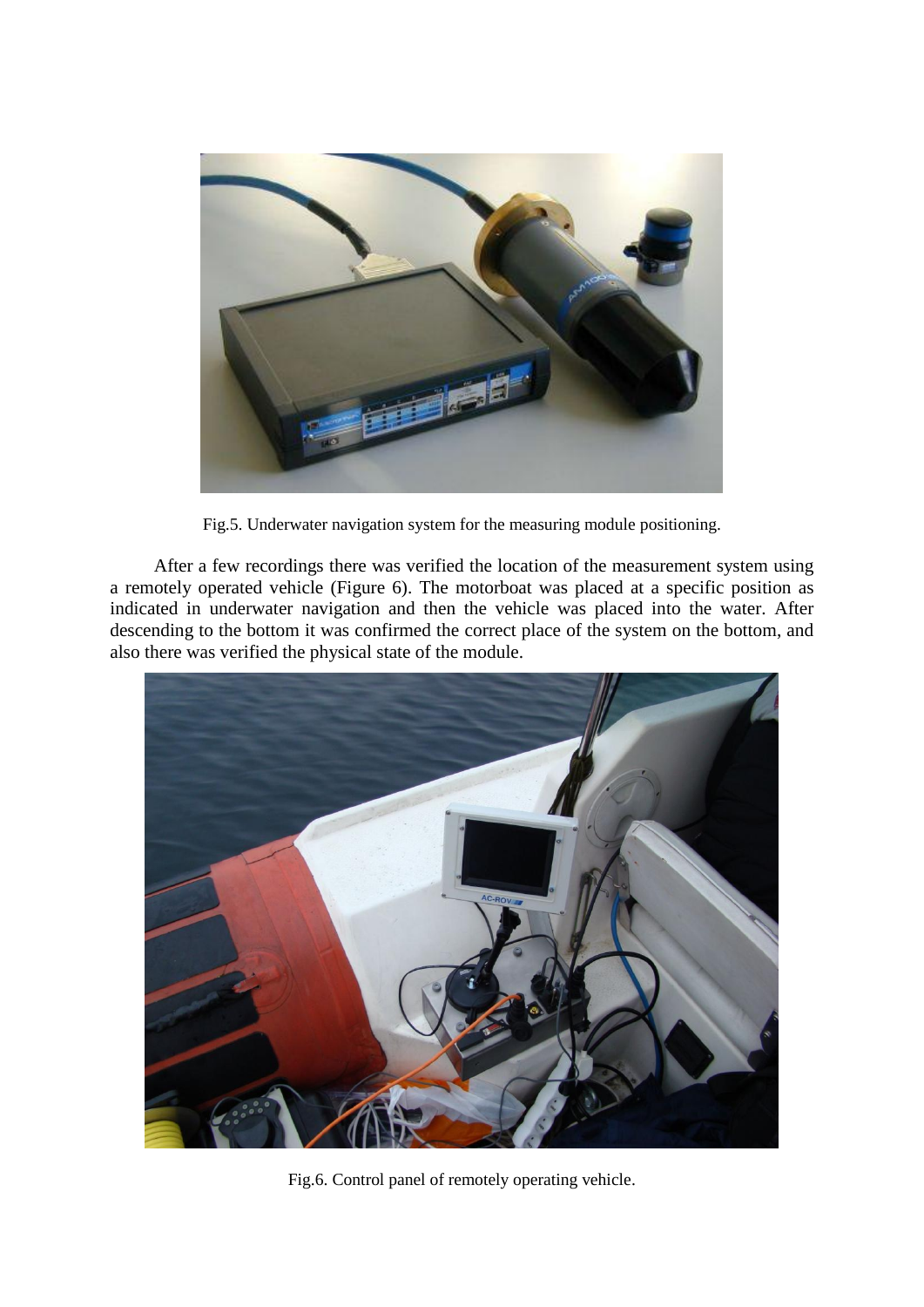

Fig.5. Underwater navigation system for the measuring module positioning.

After a few recordings there was verified the location of the measurement system using a remotely operated vehicle (Figure 6). The motorboat was placed at a specific position as indicated in underwater navigation and then the vehicle was placed into the water. After descending to the bottom it was confirmed the correct place of the system on the bottom, and also there was verified the physical state of the module.



Fig.6. Control panel of remotely operating vehicle.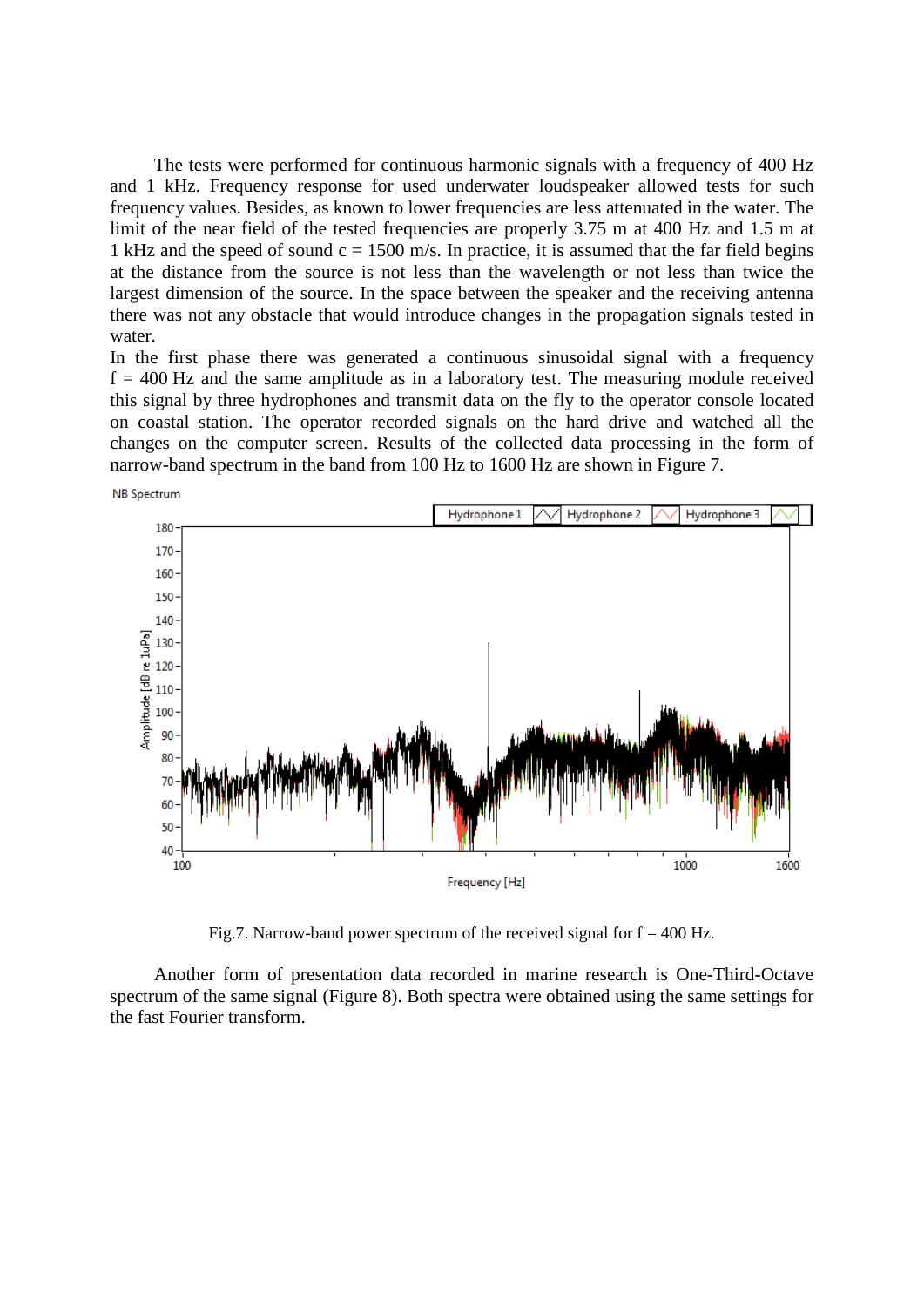The tests were performed for continuous harmonic signals with a frequency of 400 Hz and 1 kHz. Frequency response for used underwater loudspeaker allowed tests for such frequency values. Besides, as known to lower frequencies are less attenuated in the water. The limit of the near field of the tested frequencies are properly 3.75 m at 400 Hz and 1.5 m at 1 kHz and the speed of sound  $c = 1500$  m/s. In practice, it is assumed that the far field begins at the distance from the source is not less than the wavelength or not less than twice the largest dimension of the source. In the space between the speaker and the receiving antenna there was not any obstacle that would introduce changes in the propagation signals tested in water.

In the first phase there was generated a continuous sinusoidal signal with a frequency  $f = 400$  Hz and the same amplitude as in a laboratory test. The measuring module received this signal by three hydrophones and transmit data on the fly to the operator console located on coastal station. The operator recorded signals on the hard drive and watched all the changes on the computer screen. Results of the collected data processing in the form of narrow-band spectrum in the band from 100 Hz to 1600 Hz are shown in Figure 7.



Fig.7. Narrow-band power spectrum of the received signal for  $f = 400$  Hz.

Another form of presentation data recorded in marine research is One-Third-Octave spectrum of the same signal (Figure 8). Both spectra were obtained using the same settings for the fast Fourier transform.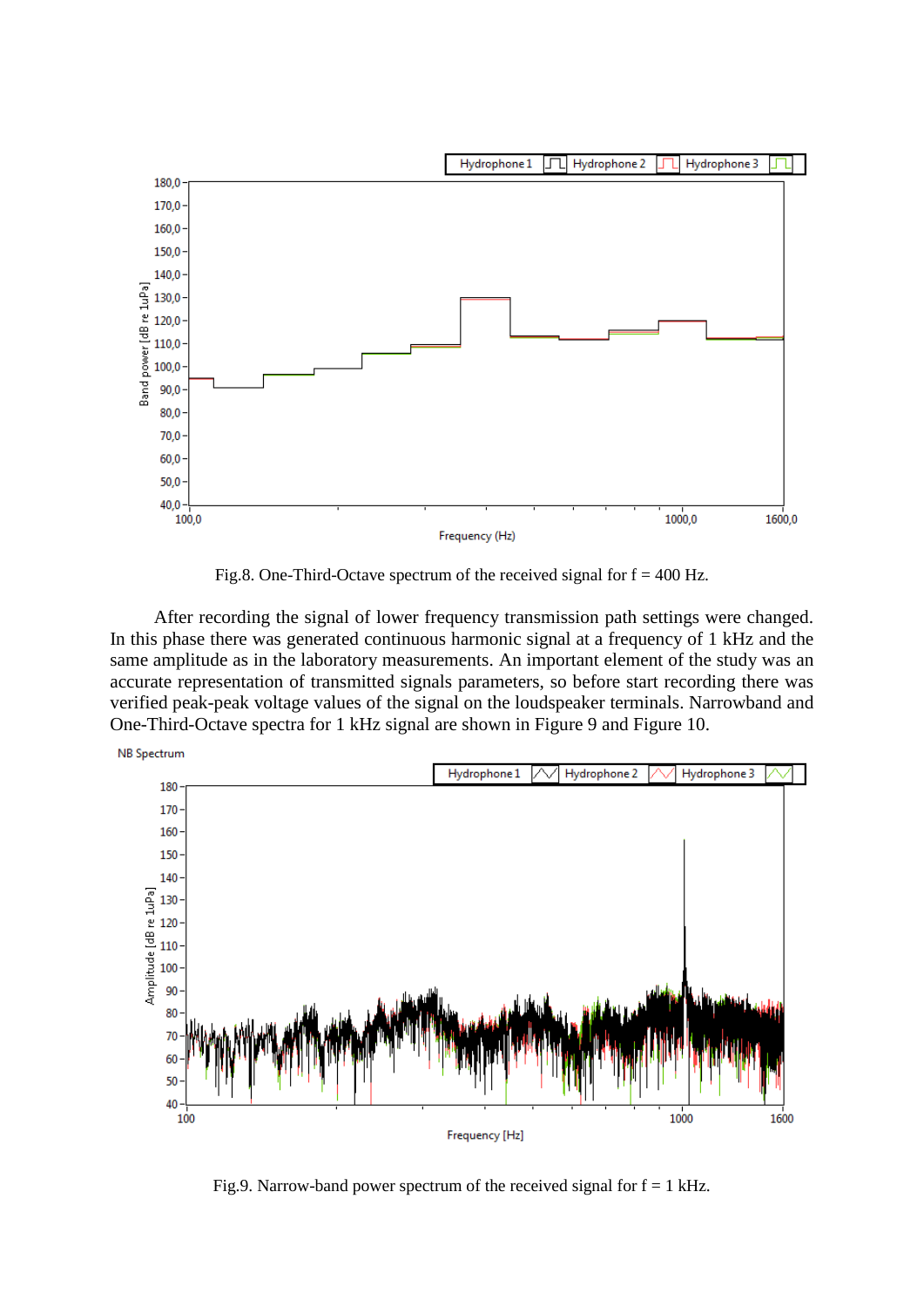

Fig.8. One-Third-Octave spectrum of the received signal for  $f = 400$  Hz.

After recording the signal of lower frequency transmission path settings were changed. In this phase there was generated continuous harmonic signal at a frequency of 1 kHz and the same amplitude as in the laboratory measurements. An important element of the study was an accurate representation of transmitted signals parameters, so before start recording there was verified peak-peak voltage values of the signal on the loudspeaker terminals. Narrowband and One-Third-Octave spectra for 1 kHz signal are shown in Figure 9 and Figure 10.



Fig.9. Narrow-band power spectrum of the received signal for  $f = 1$  kHz.